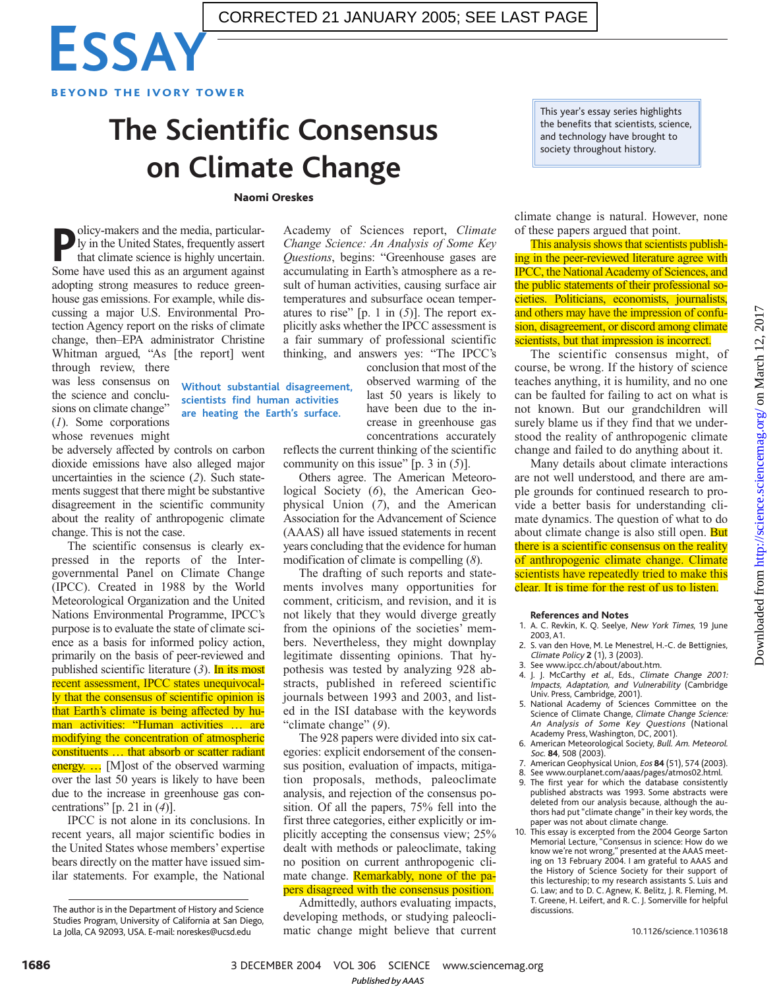

## **The Scientific Consensus on Climate Change**

## Naomi Oreskes

**Without substantial disagreement, scientists find human activities are heating the Earth's surface.**

**P** olicy-makers and the media, particularly in the United States, frequently assert that climate science is highly uncertain.<br>Some have used this as an argument against olicy-makers and the media, particularly in the United States, frequently assert that climate science is highly uncertain. adopting strong measures to reduce greenhouse gas emissions. For example, while discussing a major U.S. Environmental Protection Agency report on the risks of climate change, then–EPA administrator Christine Whitman argued, "As [the report] went

through review, there was less consensus on the science and conclusions on climate change" (*1*). Some corporations whose revenues might

be adversely affected by controls on carbon dioxide emissions have also alleged major uncertainties in the science (*2*). Such statements suggest that there might be substantive disagreement in the scientific community about the reality of anthropogenic climate change. This is not the case.

The scientific consensus is clearly expressed in the reports of the Intergovernmental Panel on Climate Change (IPCC). Created in 1988 by the World Meteorological Organization and the United Nations Environmental Programme, IPCC's purpose is to evaluate the state of climate science as a basis for informed policy action, primarily on the basis of peer-reviewed and published scientific literature (*3*). In its most recent assessment, IPCC states unequivocally that the consensus of scientific opinion is that Earth's climate is being affected by human activities: "Human activities … are modifying the concentration of atmospheric constituents … that absorb or scatter radiant energy. ... [M]ost of the observed warming over the last 50 years is likely to have been due to the increase in greenhouse gas concentrations" [p. 21 in (*4*)].

IPCC is not alone in its conclusions. In recent years, all major scientific bodies in the United States whose members' expertise bears directly on the matter have issued similar statements. For example, the National Academy of Sciences report, *Climate Change Science: An Analysis of Some Key Questions*, begins: "Greenhouse gases are accumulating in Earth's atmosphere as a result of human activities, causing surface air temperatures and subsurface ocean temperatures to rise" [p. 1 in (*5*)]. The report explicitly asks whether the IPCC assessment is a fair summary of professional scientific thinking, and answers yes: "The IPCC's

> conclusion that most of the observed warming of the last 50 years is likely to have been due to the increase in greenhouse gas concentrations accurately

reflects the current thinking of the scientific community on this issue" [p. 3 in (*5*)].

Others agree. The American Meteorological Society (*6*), the American Geophysical Union (*7*), and the American Association for the Advancement of Science (AAAS) all have issued statements in recent years concluding that the evidence for human modification of climate is compelling (*8*).

The drafting of such reports and statements involves many opportunities for comment, criticism, and revision, and it is not likely that they would diverge greatly from the opinions of the societies' members. Nevertheless, they might downplay legitimate dissenting opinions. That hypothesis was tested by analyzing 928 abstracts, published in refereed scientific journals between 1993 and 2003, and listed in the ISI database with the keywords "climate change" (*9*).

The 928 papers were divided into six categories: explicit endorsement of the consensus position, evaluation of impacts, mitigation proposals, methods, paleoclimate analysis, and rejection of the consensus position. Of all the papers, 75% fell into the first three categories, either explicitly or implicitly accepting the consensus view; 25% dealt with methods or paleoclimate, taking no position on current anthropogenic climate change. **Remarkably, none of the pa**pers disagreed with the consensus position.

Admittedly, authors evaluating impacts, developing methods, or studying paleoclimatic change might believe that current

This year's essay series highlights the benefits that scientists, science, and technology have brought to society throughout history.

climate change is natural. However, none of these papers argued that point.

This analysis shows that scientists publishing in the peer-reviewed literature agree with IPCC, the National Academy of Sciences, and the public statements of their professional societies. Politicians, economists, journalists, and others may have the impression of confusion, disagreement, or discord among climate scientists, but that impression is incorrect.

The scientific consensus might, of course, be wrong. If the history of science teaches anything, it is humility, and no one can be faulted for failing to act on what is not known. But our grandchildren will surely blame us if they find that we understood the reality of anthropogenic climate change and failed to do anything about it.

Many details about climate interactions are not well understood, and there are ample grounds for continued research to provide a better basis for understanding climate dynamics. The question of what to do about climate change is also still open. But there is a scientific consensus on the reality of anthropogenic climate change. Climate scientists have repeatedly tried to make this clear. It is time for the rest of us to listen.

## **References and Notes**

- 1. A. C. Revkin, K. Q. Seelye, New York Times, 19 June 2003, A1.
- 2. S. van den Hove, M. Le Menestrel, H.-C. de Bettignies, Climate Policy **2** (1), 3 (2003).
- 3. See www.ipcc.ch/about/about.htm.
- 4. J. J. McCarthy et al., Eds., Climate Change 2001: Impacts, Adaptation, and Vulnerability (Cambridge Univ. Press, Cambridge, 2001). 5. National Academy of Sciences Committee on the
- Science of Climate Change, Climate Change Science: An Analysis of Some Key Questions (National Academy Press, Washington, DC, 2001).
- 6. American Meteorological Society, Bull. Am. Meteorol. Soc. **84**, 508 (2003).
- 7. American Geophysical Union, Eos **84** (51), 574 (2003).
- 8. See www.ourplanet.com/aaas/pages/atmos02.html. 9. The first year for which the database consistently published abstracts was 1993. Some abstracts were deleted from our analysis because, although the au-
- thors had put "climate change" in their key words, the paper was not about climate change. 10. This essay is excerpted from the 2004 George Sarton Memorial Lecture, "Consensus in science: How do we know we're not wrong," presented at the AAAS meet-ing on 13 February 2004. I am grateful to AAAS and the History of Science Society for their support of this lectureship; to my research assistants S. Luis and G. Law; and to D. C. Agnew, K. Belitz, J. R. Fleming, M. T. Greene, H. Leifert, and R. C. J. Somerville for helpful discussions.

3 DECEMBER 2004 VOL 306 SCIENCE www.sciencemag.org *Published byAAAS*

The author is in the Department of History and Science Studies Program, University of California at San Diego, La Jolla, CA 92093, USA. E-mail: noreskes@ucsd.edu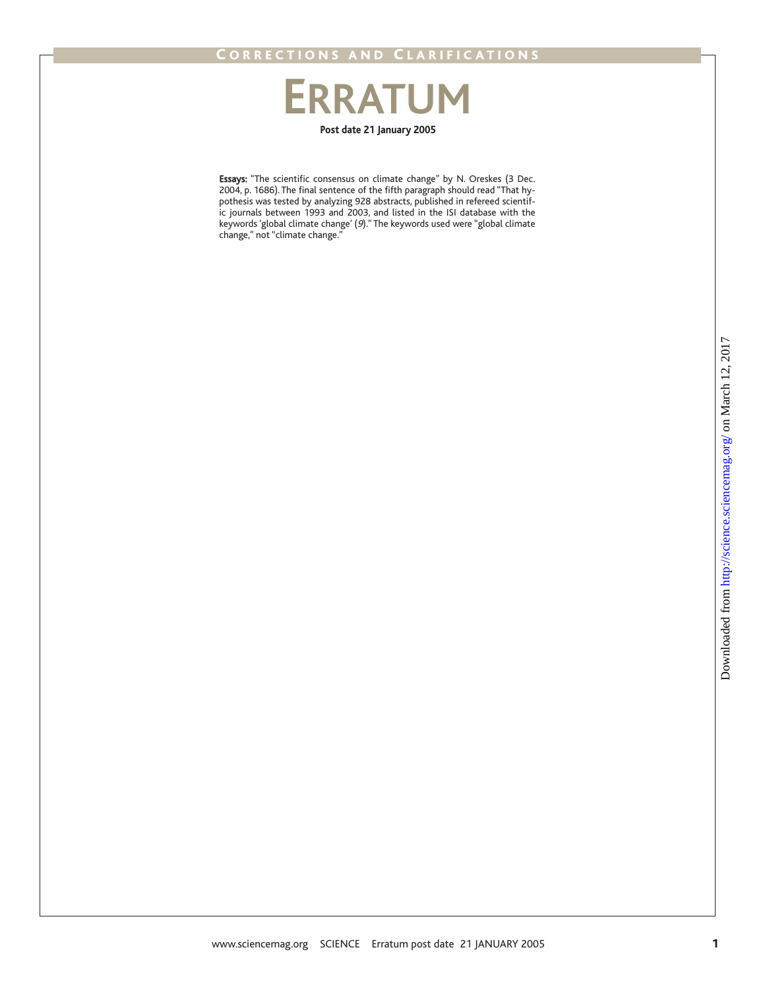## **Post date 21 January 2005 ERRATUM**

Essays: "The scientific consensus on climate change" by N. Oreskes (3 Dec. 2004, p. 1686). The final sentence of the fifth paragraph should read "That hypothesis was tested by analyzing 928 abstracts, published in refereed scientific journals between 1993 and 2003, and listed in the ISI database with the keywords 'global climate change' (9)." The keywords used were "global climate change," not "climate change."